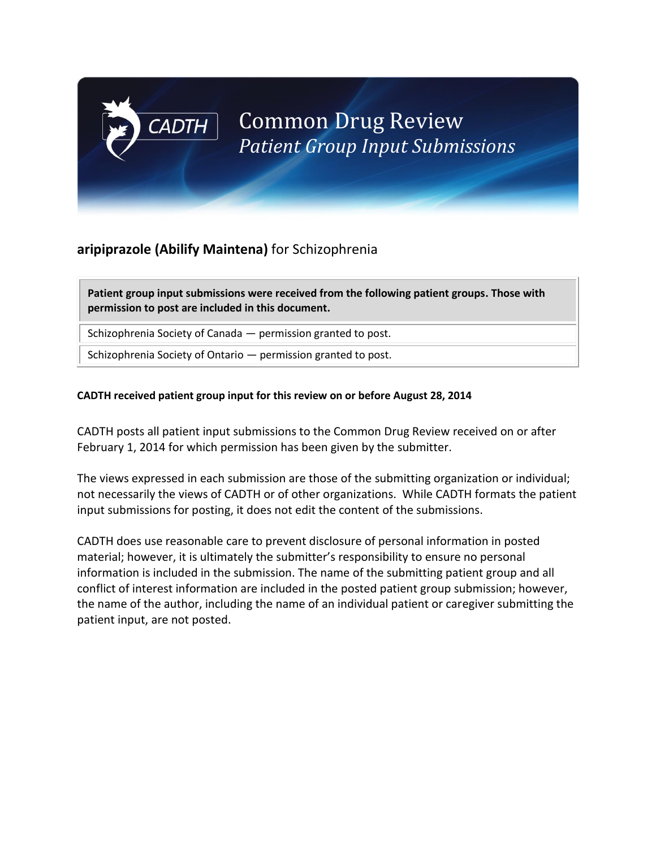# **aripiprazole (Abilify Maintena)** for Schizophrenia

**CADTH** 

**Patient group input submissions were received from the following patient groups. Those with permission to post are included in this document.**

Schizophrenia Society of Canada — permission granted to post.

Schizophrenia Society of Ontario — permission granted to post.

### **CADTH received patient group input for this review on or before August 28, 2014**

CADTH posts all patient input submissions to the Common Drug Review received on or after February 1, 2014 for which permission has been given by the submitter.

The views expressed in each submission are those of the submitting organization or individual; not necessarily the views of CADTH or of other organizations. While CADTH formats the patient input submissions for posting, it does not edit the content of the submissions.

CADTH does use reasonable care to prevent disclosure of personal information in posted material; however, it is ultimately the submitter's responsibility to ensure no personal information is included in the submission. The name of the submitting patient group and all conflict of interest information are included in the posted patient group submission; however, the name of the author, including the name of an individual patient or caregiver submitting the patient input, are not posted.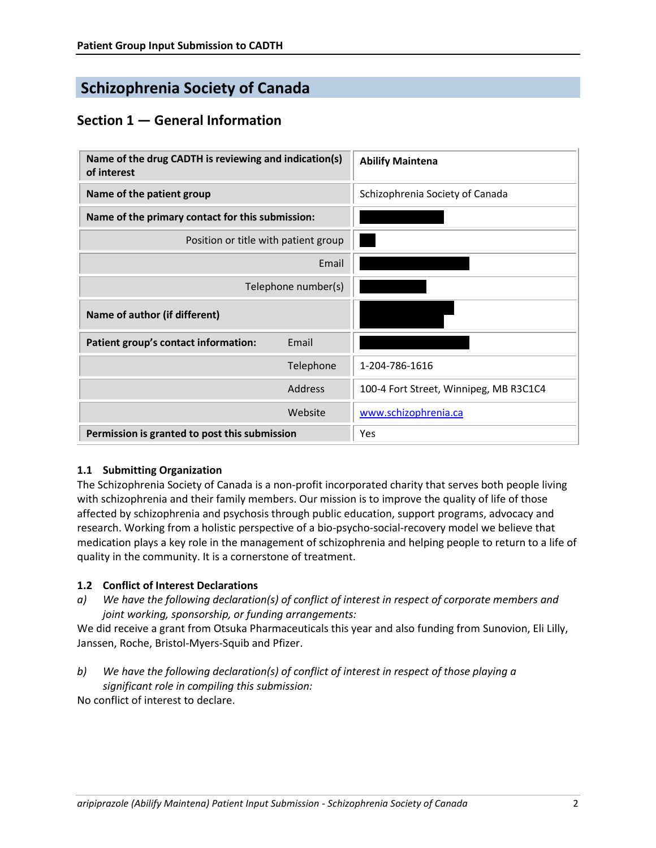# **Schizophrenia Society of Canada**

# **Section 1 — General Information**

| Name of the drug CADTH is reviewing and indication(s)<br>of interest |           | <b>Abilify Maintena</b>                |
|----------------------------------------------------------------------|-----------|----------------------------------------|
| Name of the patient group                                            |           | Schizophrenia Society of Canada        |
| Name of the primary contact for this submission:                     |           |                                        |
| Position or title with patient group                                 |           |                                        |
| Email                                                                |           |                                        |
| Telephone number(s)                                                  |           |                                        |
| Name of author (if different)                                        |           |                                        |
| Patient group's contact information:                                 | Email     |                                        |
|                                                                      | Telephone | 1-204-786-1616                         |
|                                                                      | Address   | 100-4 Fort Street, Winnipeg, MB R3C1C4 |
|                                                                      | Website   | www.schizophrenia.ca                   |
| Permission is granted to post this submission                        |           | Yes                                    |

### **1.1 Submitting Organization**

The Schizophrenia Society of Canada is a non-profit incorporated charity that serves both people living with schizophrenia and their family members. Our mission is to improve the quality of life of those affected by schizophrenia and psychosis through public education, support programs, advocacy and research. Working from a holistic perspective of a bio-psycho-social-recovery model we believe that medication plays a key role in the management of schizophrenia and helping people to return to a life of quality in the community. It is a cornerstone of treatment.

### **1.2 Conflict of Interest Declarations**

*a) We have the following declaration(s) of conflict of interest in respect of corporate members and joint working, sponsorship, or funding arrangements:*

We did receive a grant from Otsuka Pharmaceuticals this year and also funding from Sunovion, Eli Lilly, Janssen, Roche, Bristol-Myers-Squib and Pfizer.

*b) We have the following declaration(s) of conflict of interest in respect of those playing a significant role in compiling this submission:*

No conflict of interest to declare.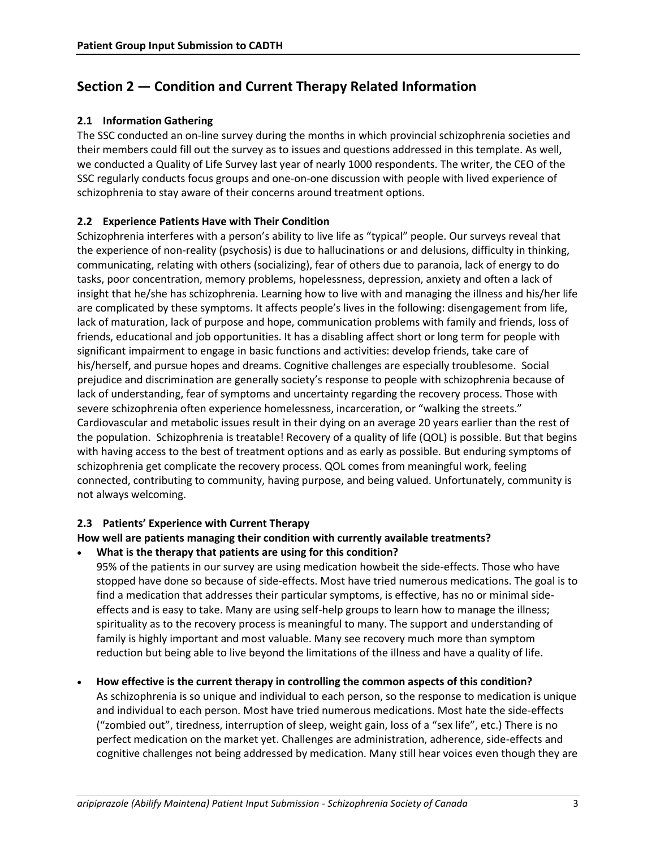## **Section 2 — Condition and Current Therapy Related Information**

### **2.1 Information Gathering**

The SSC conducted an on-line survey during the months in which provincial schizophrenia societies and their members could fill out the survey as to issues and questions addressed in this template. As well, we conducted a Quality of Life Survey last year of nearly 1000 respondents. The writer, the CEO of the SSC regularly conducts focus groups and one-on-one discussion with people with lived experience of schizophrenia to stay aware of their concerns around treatment options.

### **2.2 Experience Patients Have with Their Condition**

Schizophrenia interferes with a person's ability to live life as "typical" people. Our surveys reveal that the experience of non-reality (psychosis) is due to hallucinations or and delusions, difficulty in thinking, communicating, relating with others (socializing), fear of others due to paranoia, lack of energy to do tasks, poor concentration, memory problems, hopelessness, depression, anxiety and often a lack of insight that he/she has schizophrenia. Learning how to live with and managing the illness and his/her life are complicated by these symptoms. It affects people's lives in the following: disengagement from life, lack of maturation, lack of purpose and hope, communication problems with family and friends, loss of friends, educational and job opportunities. It has a disabling affect short or long term for people with significant impairment to engage in basic functions and activities: develop friends, take care of his/herself, and pursue hopes and dreams. Cognitive challenges are especially troublesome. Social prejudice and discrimination are generally society's response to people with schizophrenia because of lack of understanding, fear of symptoms and uncertainty regarding the recovery process. Those with severe schizophrenia often experience homelessness, incarceration, or "walking the streets." Cardiovascular and metabolic issues result in their dying on an average 20 years earlier than the rest of the population. Schizophrenia is treatable! Recovery of a quality of life (QOL) is possible. But that begins with having access to the best of treatment options and as early as possible. But enduring symptoms of schizophrenia get complicate the recovery process. QOL comes from meaningful work, feeling connected, contributing to community, having purpose, and being valued. Unfortunately, community is not always welcoming.

#### **2.3 Patients' Experience with Current Therapy**

#### **How well are patients managing their condition with currently available treatments?**

**What is the therapy that patients are using for this condition?**

95% of the patients in our survey are using medication howbeit the side-effects. Those who have stopped have done so because of side-effects. Most have tried numerous medications. The goal is to find a medication that addresses their particular symptoms, is effective, has no or minimal sideeffects and is easy to take. Many are using self-help groups to learn how to manage the illness; spirituality as to the recovery process is meaningful to many. The support and understanding of family is highly important and most valuable. Many see recovery much more than symptom reduction but being able to live beyond the limitations of the illness and have a quality of life.

 **How effective is the current therapy in controlling the common aspects of this condition?** As schizophrenia is so unique and individual to each person, so the response to medication is unique and individual to each person. Most have tried numerous medications. Most hate the side-effects ("zombied out", tiredness, interruption of sleep, weight gain, loss of a "sex life", etc.) There is no perfect medication on the market yet. Challenges are administration, adherence, side-effects and

cognitive challenges not being addressed by medication. Many still hear voices even though they are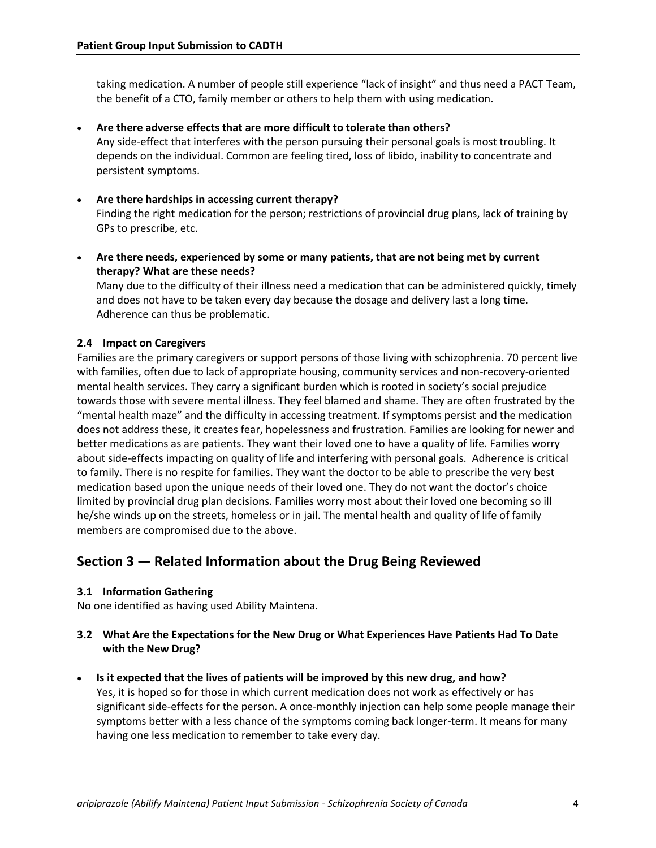taking medication. A number of people still experience "lack of insight" and thus need a PACT Team, the benefit of a CTO, family member or others to help them with using medication.

- **Are there adverse effects that are more difficult to tolerate than others?** Any side-effect that interferes with the person pursuing their personal goals is most troubling. It depends on the individual. Common are feeling tired, loss of libido, inability to concentrate and persistent symptoms.
- **Are there hardships in accessing current therapy?** Finding the right medication for the person; restrictions of provincial drug plans, lack of training by GPs to prescribe, etc.
- **Are there needs, experienced by some or many patients, that are not being met by current therapy? What are these needs?**

Many due to the difficulty of their illness need a medication that can be administered quickly, timely and does not have to be taken every day because the dosage and delivery last a long time. Adherence can thus be problematic.

### **2.4 Impact on Caregivers**

Families are the primary caregivers or support persons of those living with schizophrenia. 70 percent live with families, often due to lack of appropriate housing, community services and non-recovery-oriented mental health services. They carry a significant burden which is rooted in society's social prejudice towards those with severe mental illness. They feel blamed and shame. They are often frustrated by the "mental health maze" and the difficulty in accessing treatment. If symptoms persist and the medication does not address these, it creates fear, hopelessness and frustration. Families are looking for newer and better medications as are patients. They want their loved one to have a quality of life. Families worry about side-effects impacting on quality of life and interfering with personal goals. Adherence is critical to family. There is no respite for families. They want the doctor to be able to prescribe the very best medication based upon the unique needs of their loved one. They do not want the doctor's choice limited by provincial drug plan decisions. Families worry most about their loved one becoming so ill he/she winds up on the streets, homeless or in jail. The mental health and quality of life of family members are compromised due to the above.

# **Section 3 — Related Information about the Drug Being Reviewed**

### **3.1 Information Gathering**

No one identified as having used Ability Maintena.

### **3.2 What Are the Expectations for the New Drug or What Experiences Have Patients Had To Date with the New Drug?**

**Is it expected that the lives of patients will be improved by this new drug, and how?** 

Yes, it is hoped so for those in which current medication does not work as effectively or has significant side-effects for the person. A once-monthly injection can help some people manage their symptoms better with a less chance of the symptoms coming back longer-term. It means for many having one less medication to remember to take every day.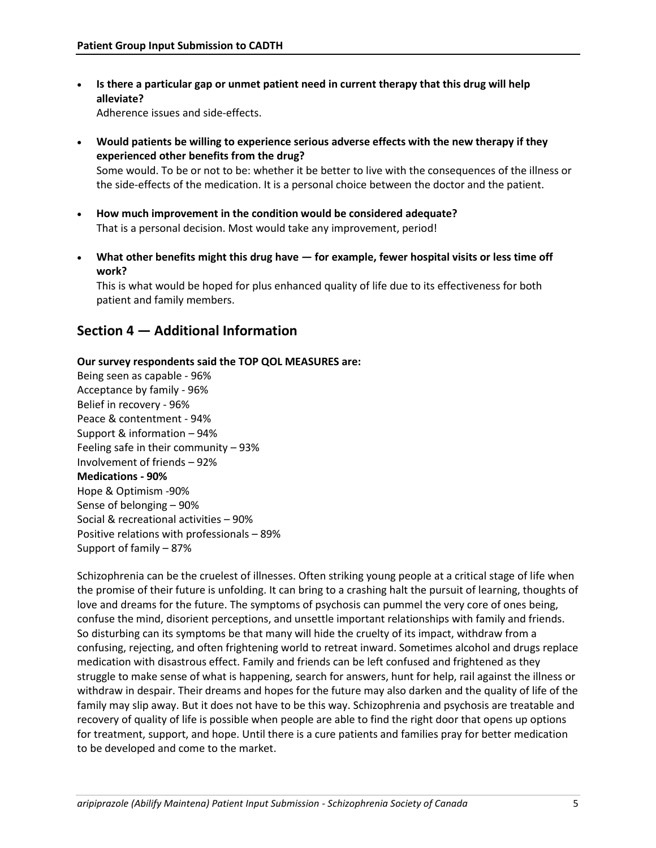- **Is there a particular gap or unmet patient need in current therapy that this drug will help alleviate?** Adherence issues and side-effects.
- **Would patients be willing to experience serious adverse effects with the new therapy if they experienced other benefits from the drug?**  Some would. To be or not to be: whether it be better to live with the consequences of the illness or the side-effects of the medication. It is a personal choice between the doctor and the patient.
- **How much improvement in the condition would be considered adequate?**  That is a personal decision. Most would take any improvement, period!
- **What other benefits might this drug have — for example, fewer hospital visits or less time off work?**

This is what would be hoped for plus enhanced quality of life due to its effectiveness for both patient and family members.

### **Section 4 — Additional Information**

### **Our survey respondents said the TOP QOL MEASURES are:**

Being seen as capable - 96% Acceptance by family - 96% Belief in recovery - 96% Peace & contentment - 94% Support & information – 94% Feeling safe in their community – 93% Involvement of friends – 92% **Medications - 90%** Hope & Optimism -90% Sense of belonging – 90% Social & recreational activities – 90% Positive relations with professionals – 89% Support of family – 87%

Schizophrenia can be the cruelest of illnesses. Often striking young people at a critical stage of life when the promise of their future is unfolding. It can bring to a crashing halt the pursuit of learning, thoughts of love and dreams for the future. The symptoms of psychosis can pummel the very core of ones being, confuse the mind, disorient perceptions, and unsettle important relationships with family and friends. So disturbing can its symptoms be that many will hide the cruelty of its impact, withdraw from a confusing, rejecting, and often frightening world to retreat inward. Sometimes alcohol and drugs replace medication with disastrous effect. Family and friends can be left confused and frightened as they struggle to make sense of what is happening, search for answers, hunt for help, rail against the illness or withdraw in despair. Their dreams and hopes for the future may also darken and the quality of life of the family may slip away. But it does not have to be this way. Schizophrenia and psychosis are treatable and recovery of quality of life is possible when people are able to find the right door that opens up options for treatment, support, and hope. Until there is a cure patients and families pray for better medication to be developed and come to the market.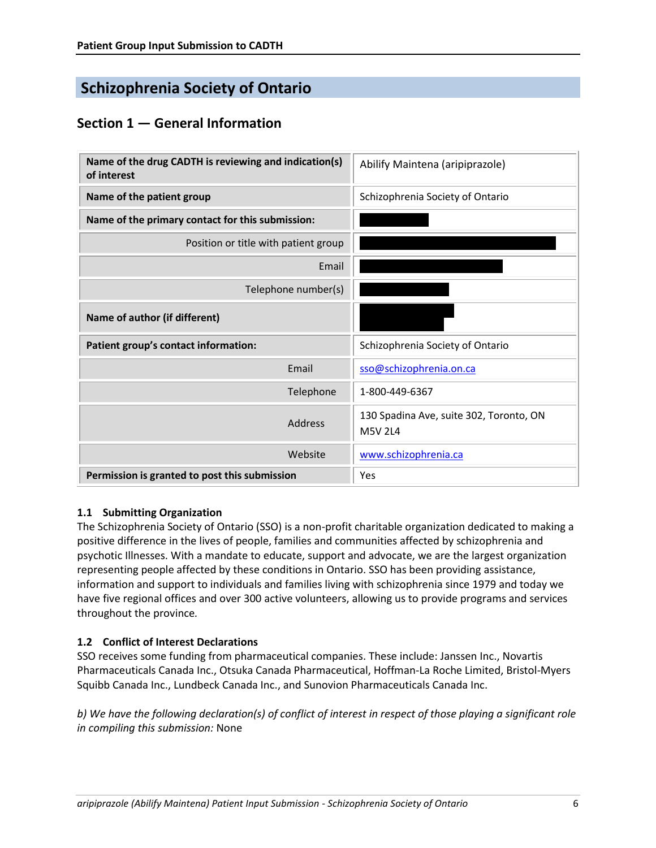# **Schizophrenia Society of Ontario**

# **Section 1 — General Information**

| Name of the drug CADTH is reviewing and indication(s)<br>of interest | Abilify Maintena (aripiprazole)                           |
|----------------------------------------------------------------------|-----------------------------------------------------------|
| Name of the patient group                                            | Schizophrenia Society of Ontario                          |
| Name of the primary contact for this submission:                     |                                                           |
| Position or title with patient group                                 |                                                           |
| Email                                                                |                                                           |
| Telephone number(s)                                                  |                                                           |
| Name of author (if different)                                        |                                                           |
| Patient group's contact information:                                 | Schizophrenia Society of Ontario                          |
| Email                                                                | sso@schizophrenia.on.ca                                   |
| Telephone                                                            | 1-800-449-6367                                            |
| Address                                                              | 130 Spadina Ave, suite 302, Toronto, ON<br><b>M5V 2L4</b> |
| Website                                                              | www.schizophrenia.ca                                      |
| Permission is granted to post this submission                        | Yes                                                       |

### **1.1 Submitting Organization**

The Schizophrenia Society of Ontario (SSO) is a non-profit charitable organization dedicated to making a positive difference in the lives of people, families and communities affected by schizophrenia and psychotic Illnesses. With a mandate to educate, support and advocate, we are the largest organization representing people affected by these conditions in Ontario. SSO has been providing assistance, information and support to individuals and families living with schizophrenia since 1979 and today we have five regional offices and over 300 active volunteers, allowing us to provide programs and services throughout the province*.*

### **1.2 Conflict of Interest Declarations**

SSO receives some funding from pharmaceutical companies. These include: Janssen Inc., Novartis Pharmaceuticals Canada Inc., Otsuka Canada Pharmaceutical, Hoffman-La Roche Limited, Bristol-Myers Squibb Canada Inc., Lundbeck Canada Inc., and Sunovion Pharmaceuticals Canada Inc.

*b) We have the following declaration(s) of conflict of interest in respect of those playing a significant role in compiling this submission:* None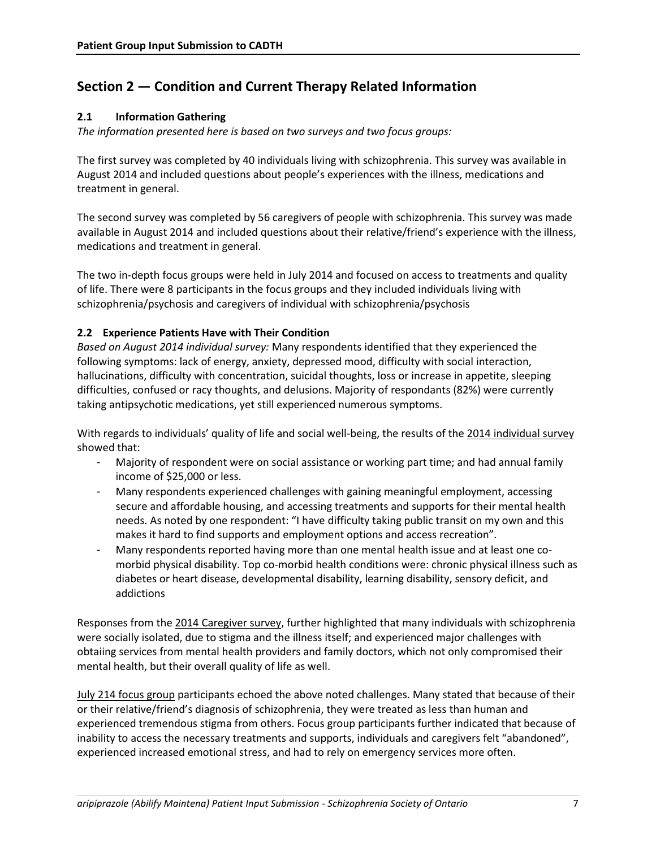# **Section 2 — Condition and Current Therapy Related Information**

### **2.1 Information Gathering**

*The information presented here is based on two surveys and two focus groups:* 

The first survey was completed by 40 individuals living with schizophrenia. This survey was available in August 2014 and included questions about people's experiences with the illness, medications and treatment in general.

The second survey was completed by 56 caregivers of people with schizophrenia. This survey was made available in August 2014 and included questions about their relative/friend's experience with the illness, medications and treatment in general.

The two in-depth focus groups were held in July 2014 and focused on access to treatments and quality of life. There were 8 participants in the focus groups and they included individuals living with schizophrenia/psychosis and caregivers of individual with schizophrenia/psychosis

### **2.2 Experience Patients Have with Their Condition**

*Based on August 2014 individual survey:* Many respondents identified that they experienced the following symptoms: lack of energy, anxiety, depressed mood, difficulty with social interaction, hallucinations, difficulty with concentration, suicidal thoughts, loss or increase in appetite, sleeping difficulties, confused or racy thoughts, and delusions. Majority of respondants (82%) were currently taking antipsychotic medications, yet still experienced numerous symptoms.

With regards to individuals' quality of life and social well-being, the results of the 2014 individual survey showed that:

- Majority of respondent were on social assistance or working part time; and had annual family income of \$25,000 or less.
- Many respondents experienced challenges with gaining meaningful employment, accessing secure and affordable housing, and accessing treatments and supports for their mental health needs. As noted by one respondent: "I have difficulty taking public transit on my own and this makes it hard to find supports and employment options and access recreation".
- Many respondents reported having more than one mental health issue and at least one comorbid physical disability. Top co-morbid health conditions were: chronic physical illness such as diabetes or heart disease, developmental disability, learning disability, sensory deficit, and addictions

Responses from the 2014 Caregiver survey, further highlighted that many individuals with schizophrenia were socially isolated, due to stigma and the illness itself; and experienced major challenges with obtaiing services from mental health providers and family doctors, which not only compromised their mental health, but their overall quality of life as well.

July 214 focus group participants echoed the above noted challenges. Many stated that because of their or their relative/friend's diagnosis of schizophrenia, they were treated as less than human and experienced tremendous stigma from others. Focus group participants further indicated that because of inability to access the necessary treatments and supports, individuals and caregivers felt "abandoned", experienced increased emotional stress, and had to rely on emergency services more often.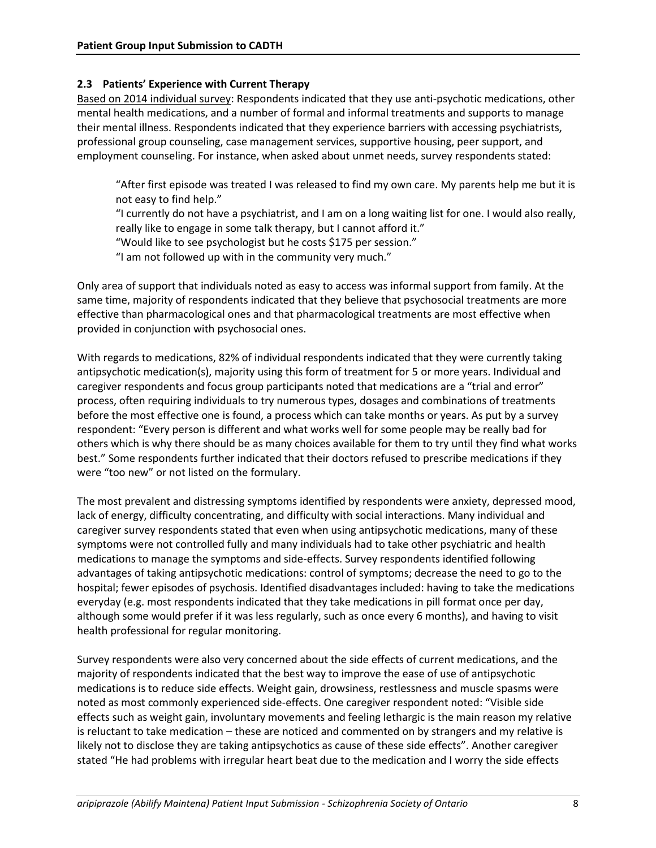### **2.3 Patients' Experience with Current Therapy**

Based on 2014 individual survey: Respondents indicated that they use anti-psychotic medications, other mental health medications, and a number of formal and informal treatments and supports to manage their mental illness. Respondents indicated that they experience barriers with accessing psychiatrists, professional group counseling, case management services, supportive housing, peer support, and employment counseling. For instance, when asked about unmet needs, survey respondents stated:

"After first episode was treated I was released to find my own care. My parents help me but it is not easy to find help."

"I currently do not have a psychiatrist, and I am on a long waiting list for one. I would also really, really like to engage in some talk therapy, but I cannot afford it."

"Would like to see psychologist but he costs \$175 per session."

"I am not followed up with in the community very much."

Only area of support that individuals noted as easy to access was informal support from family. At the same time, majority of respondents indicated that they believe that psychosocial treatments are more effective than pharmacological ones and that pharmacological treatments are most effective when provided in conjunction with psychosocial ones.

With regards to medications, 82% of individual respondents indicated that they were currently taking antipsychotic medication(s), majority using this form of treatment for 5 or more years. Individual and caregiver respondents and focus group participants noted that medications are a "trial and error" process, often requiring individuals to try numerous types, dosages and combinations of treatments before the most effective one is found, a process which can take months or years. As put by a survey respondent: "Every person is different and what works well for some people may be really bad for others which is why there should be as many choices available for them to try until they find what works best." Some respondents further indicated that their doctors refused to prescribe medications if they were "too new" or not listed on the formulary.

The most prevalent and distressing symptoms identified by respondents were anxiety, depressed mood, lack of energy, difficulty concentrating, and difficulty with social interactions. Many individual and caregiver survey respondents stated that even when using antipsychotic medications, many of these symptoms were not controlled fully and many individuals had to take other psychiatric and health medications to manage the symptoms and side-effects. Survey respondents identified following advantages of taking antipsychotic medications: control of symptoms; decrease the need to go to the hospital; fewer episodes of psychosis. Identified disadvantages included: having to take the medications everyday (e.g. most respondents indicated that they take medications in pill format once per day, although some would prefer if it was less regularly, such as once every 6 months), and having to visit health professional for regular monitoring.

Survey respondents were also very concerned about the side effects of current medications, and the majority of respondents indicated that the best way to improve the ease of use of antipsychotic medications is to reduce side effects. Weight gain, drowsiness, restlessness and muscle spasms were noted as most commonly experienced side-effects. One caregiver respondent noted: "Visible side effects such as weight gain, involuntary movements and feeling lethargic is the main reason my relative is reluctant to take medication – these are noticed and commented on by strangers and my relative is likely not to disclose they are taking antipsychotics as cause of these side effects". Another caregiver stated "He had problems with irregular heart beat due to the medication and I worry the side effects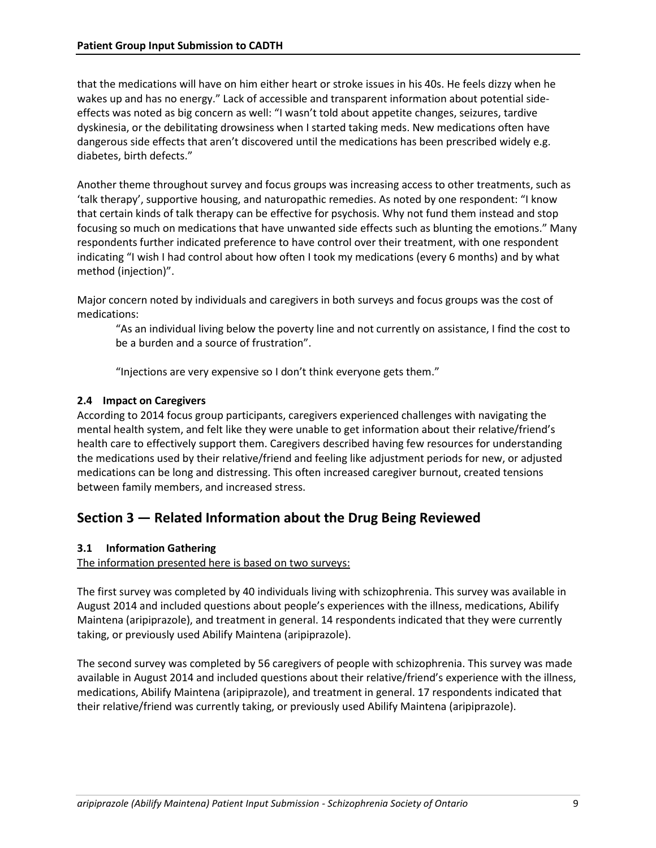that the medications will have on him either heart or stroke issues in his 40s. He feels dizzy when he wakes up and has no energy." Lack of accessible and transparent information about potential sideeffects was noted as big concern as well: "I wasn't told about appetite changes, seizures, tardive dyskinesia, or the debilitating drowsiness when I started taking meds. New medications often have dangerous side effects that aren't discovered until the medications has been prescribed widely e.g. diabetes, birth defects."

Another theme throughout survey and focus groups was increasing access to other treatments, such as 'talk therapy', supportive housing, and naturopathic remedies. As noted by one respondent: "I know that certain kinds of talk therapy can be effective for psychosis. Why not fund them instead and stop focusing so much on medications that have unwanted side effects such as blunting the emotions." Many respondents further indicated preference to have control over their treatment, with one respondent indicating "I wish I had control about how often I took my medications (every 6 months) and by what method (injection)".

Major concern noted by individuals and caregivers in both surveys and focus groups was the cost of medications:

"As an individual living below the poverty line and not currently on assistance, I find the cost to be a burden and a source of frustration".

"Injections are very expensive so I don't think everyone gets them."

### **2.4 Impact on Caregivers**

According to 2014 focus group participants, caregivers experienced challenges with navigating the mental health system, and felt like they were unable to get information about their relative/friend's health care to effectively support them. Caregivers described having few resources for understanding the medications used by their relative/friend and feeling like adjustment periods for new, or adjusted medications can be long and distressing. This often increased caregiver burnout, created tensions between family members, and increased stress.

### **Section 3 — Related Information about the Drug Being Reviewed**

### **3.1 Information Gathering**

The information presented here is based on two surveys:

The first survey was completed by 40 individuals living with schizophrenia. This survey was available in August 2014 and included questions about people's experiences with the illness, medications, Abilify Maintena (aripiprazole), and treatment in general. 14 respondents indicated that they were currently taking, or previously used Abilify Maintena (aripiprazole).

The second survey was completed by 56 caregivers of people with schizophrenia. This survey was made available in August 2014 and included questions about their relative/friend's experience with the illness, medications, Abilify Maintena (aripiprazole), and treatment in general. 17 respondents indicated that their relative/friend was currently taking, or previously used Abilify Maintena (aripiprazole).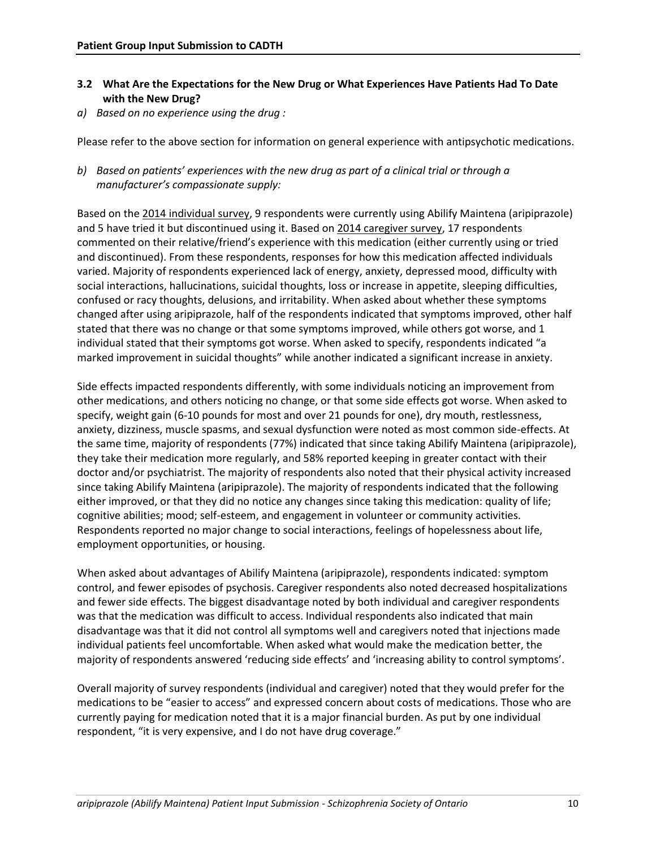- **3.2 What Are the Expectations for the New Drug or What Experiences Have Patients Had To Date with the New Drug?**
- *a) Based on no experience using the drug :*

Please refer to the above section for information on general experience with antipsychotic medications.

*b) Based on patients' experiences with the new drug as part of a clinical trial or through a manufacturer's compassionate supply:* 

Based on the 2014 individual survey, 9 respondents were currently using Abilify Maintena (aripiprazole) and 5 have tried it but discontinued using it. Based on 2014 caregiver survey, 17 respondents commented on their relative/friend's experience with this medication (either currently using or tried and discontinued). From these respondents, responses for how this medication affected individuals varied. Majority of respondents experienced lack of energy, anxiety, depressed mood, difficulty with social interactions, hallucinations, suicidal thoughts, loss or increase in appetite, sleeping difficulties, confused or racy thoughts, delusions, and irritability. When asked about whether these symptoms changed after using aripiprazole, half of the respondents indicated that symptoms improved, other half stated that there was no change or that some symptoms improved, while others got worse, and 1 individual stated that their symptoms got worse. When asked to specify, respondents indicated "a marked improvement in suicidal thoughts" while another indicated a significant increase in anxiety.

Side effects impacted respondents differently, with some individuals noticing an improvement from other medications, and others noticing no change, or that some side effects got worse. When asked to specify, weight gain (6-10 pounds for most and over 21 pounds for one), dry mouth, restlessness, anxiety, dizziness, muscle spasms, and sexual dysfunction were noted as most common side-effects. At the same time, majority of respondents (77%) indicated that since taking Abilify Maintena (aripiprazole), they take their medication more regularly, and 58% reported keeping in greater contact with their doctor and/or psychiatrist. The majority of respondents also noted that their physical activity increased since taking Abilify Maintena (aripiprazole). The majority of respondents indicated that the following either improved, or that they did no notice any changes since taking this medication: quality of life; cognitive abilities; mood; self-esteem, and engagement in volunteer or community activities. Respondents reported no major change to social interactions, feelings of hopelessness about life, employment opportunities, or housing.

When asked about advantages of Abilify Maintena (aripiprazole), respondents indicated: symptom control, and fewer episodes of psychosis. Caregiver respondents also noted decreased hospitalizations and fewer side effects. The biggest disadvantage noted by both individual and caregiver respondents was that the medication was difficult to access. Individual respondents also indicated that main disadvantage was that it did not control all symptoms well and caregivers noted that injections made individual patients feel uncomfortable. When asked what would make the medication better, the majority of respondents answered 'reducing side effects' and 'increasing ability to control symptoms'.

Overall majority of survey respondents (individual and caregiver) noted that they would prefer for the medications to be "easier to access" and expressed concern about costs of medications. Those who are currently paying for medication noted that it is a major financial burden. As put by one individual respondent, "it is very expensive, and I do not have drug coverage."